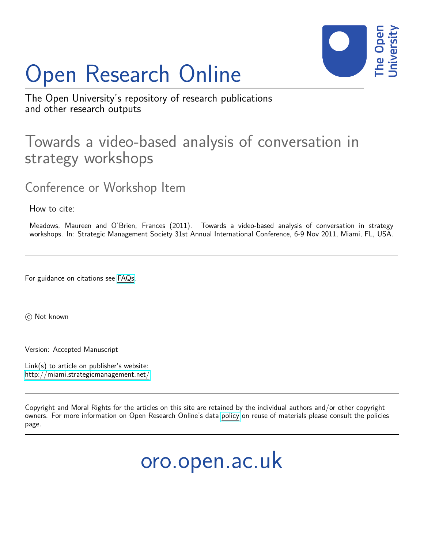# Open Research Online



The Open University's repository of research publications and other research outputs

# Towards a video-based analysis of conversation in strategy workshops

Conference or Workshop Item

How to cite:

Meadows, Maureen and O'Brien, Frances (2011). Towards a video-based analysis of conversation in strategy workshops. In: Strategic Management Society 31st Annual International Conference, 6-9 Nov 2011, Miami, FL, USA.

For guidance on citations see [FAQs.](http://oro.open.ac.uk/help/helpfaq.html)

(c) Not known

Version: Accepted Manuscript

Link(s) to article on publisher's website: <http://miami.strategicmanagement.net/>

Copyright and Moral Rights for the articles on this site are retained by the individual authors and/or other copyright owners. For more information on Open Research Online's data [policy](http://oro.open.ac.uk/policies.html) on reuse of materials please consult the policies page.

oro.open.ac.uk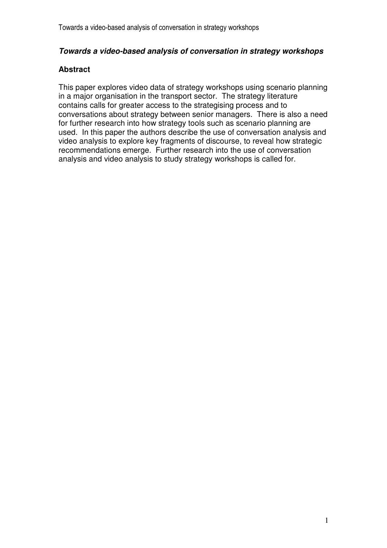# **Towards a video-based analysis of conversation in strategy workshops**

# **Abstract**

This paper explores video data of strategy workshops using scenario planning in a major organisation in the transport sector. The strategy literature contains calls for greater access to the strategising process and to conversations about strategy between senior managers. There is also a need for further research into how strategy tools such as scenario planning are used. In this paper the authors describe the use of conversation analysis and video analysis to explore key fragments of discourse, to reveal how strategic recommendations emerge. Further research into the use of conversation analysis and video analysis to study strategy workshops is called for.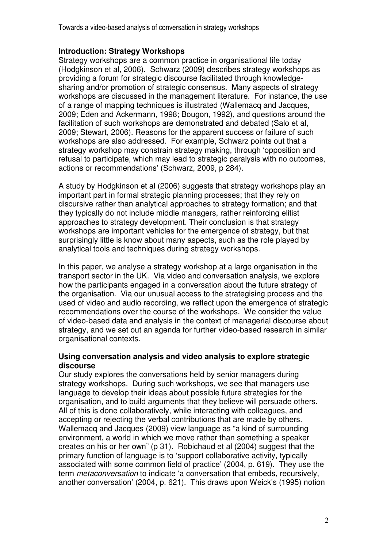Towards a video-based analysis of conversation in strategy workshops

# **Introduction: Strategy Workshops**

Strategy workshops are a common practice in organisational life today (Hodgkinson et al, 2006). Schwarz (2009) describes strategy workshops as providing a forum for strategic discourse facilitated through knowledgesharing and/or promotion of strategic consensus. Many aspects of strategy workshops are discussed in the management literature. For instance, the use of a range of mapping techniques is illustrated (Wallemacq and Jacques, 2009; Eden and Ackermann, 1998; Bougon, 1992), and questions around the facilitation of such workshops are demonstrated and debated (Salo et al, 2009; Stewart, 2006). Reasons for the apparent success or failure of such workshops are also addressed. For example, Schwarz points out that a strategy workshop may constrain strategy making, through 'opposition and refusal to participate, which may lead to strategic paralysis with no outcomes, actions or recommendations' (Schwarz, 2009, p 284).

A study by Hodgkinson et al (2006) suggests that strategy workshops play an important part in formal strategic planning processes; that they rely on discursive rather than analytical approaches to strategy formation; and that they typically do not include middle managers, rather reinforcing elitist approaches to strategy development. Their conclusion is that strategy workshops are important vehicles for the emergence of strategy, but that surprisingly little is know about many aspects, such as the role played by analytical tools and techniques during strategy workshops.

In this paper, we analyse a strategy workshop at a large organisation in the transport sector in the UK. Via video and conversation analysis, we explore how the participants engaged in a conversation about the future strategy of the organisation. Via our unusual access to the strategising process and the used of video and audio recording, we reflect upon the emergence of strategic recommendations over the course of the workshops. We consider the value of video-based data and analysis in the context of managerial discourse about strategy, and we set out an agenda for further video-based research in similar organisational contexts.

# **Using conversation analysis and video analysis to explore strategic discourse**

Our study explores the conversations held by senior managers during strategy workshops. During such workshops, we see that managers use language to develop their ideas about possible future strategies for the organisation, and to build arguments that they believe will persuade others. All of this is done collaboratively, while interacting with colleagues, and accepting or rejecting the verbal contributions that are made by others. Wallemacq and Jacques (2009) view language as "a kind of surrounding environment, a world in which we move rather than something a speaker creates on his or her own" (p 31). Robichaud et al (2004) suggest that the primary function of language is to 'support collaborative activity, typically associated with some common field of practice' (2004, p. 619). They use the term metaconversation to indicate 'a conversation that embeds, recursively, another conversation' (2004, p. 621). This draws upon Weick's (1995) notion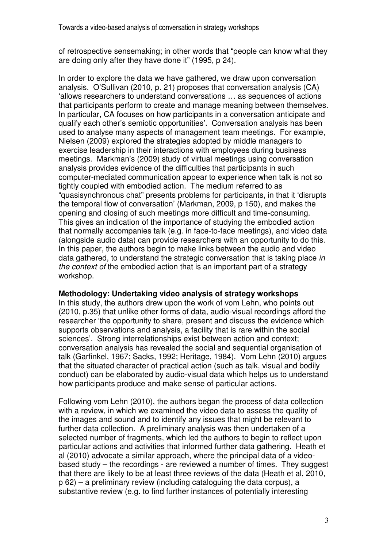of retrospective sensemaking; in other words that "people can know what they are doing only after they have done it" (1995, p 24).

In order to explore the data we have gathered, we draw upon conversation analysis. O'Sullivan (2010, p. 21) proposes that conversation analysis (CA) 'allows researchers to understand conversations … as sequences of actions that participants perform to create and manage meaning between themselves. In particular, CA focuses on how participants in a conversation anticipate and qualify each other's semiotic opportunities'. Conversation analysis has been used to analyse many aspects of management team meetings. For example, Nielsen (2009) explored the strategies adopted by middle managers to exercise leadership in their interactions with employees during business meetings. Markman's (2009) study of virtual meetings using conversation analysis provides evidence of the difficulties that participants in such computer-mediated communication appear to experience when talk is not so tightly coupled with embodied action. The medium referred to as "quasisynchronous chat" presents problems for participants, in that it 'disrupts the temporal flow of conversation' (Markman, 2009, p 150), and makes the opening and closing of such meetings more difficult and time-consuming. This gives an indication of the importance of studying the embodied action that normally accompanies talk (e.g. in face-to-face meetings), and video data (alongside audio data) can provide researchers with an opportunity to do this. In this paper, the authors begin to make links between the audio and video data gathered, to understand the strategic conversation that is taking place in the context of the embodied action that is an important part of a strategy workshop.

#### **Methodology: Undertaking video analysis of strategy workshops**

In this study, the authors drew upon the work of vom Lehn, who points out (2010, p.35) that unlike other forms of data, audio-visual recordings afford the researcher 'the opportunity to share, present and discuss the evidence which supports observations and analysis, a facility that is rare within the social sciences'. Strong interrelationships exist between action and context; conversation analysis has revealed the social and sequential organisation of talk (Garfinkel, 1967; Sacks, 1992; Heritage, 1984). Vom Lehn (2010) argues that the situated character of practical action (such as talk, visual and bodily conduct) can be elaborated by audio-visual data which helps us to understand how participants produce and make sense of particular actions.

Following vom Lehn (2010), the authors began the process of data collection with a review, in which we examined the video data to assess the quality of the images and sound and to identify any issues that might be relevant to further data collection. A preliminary analysis was then undertaken of a selected number of fragments, which led the authors to begin to reflect upon particular actions and activities that informed further data gathering. Heath et al (2010) advocate a similar approach, where the principal data of a videobased study – the recordings - are reviewed a number of times. They suggest that there are likely to be at least three reviews of the data (Heath et al, 2010, p 62) – a preliminary review (including cataloguing the data corpus), a substantive review (e.g. to find further instances of potentially interesting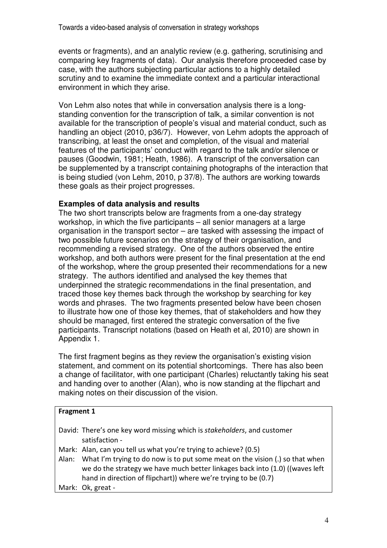events or fragments), and an analytic review (e.g. gathering, scrutinising and comparing key fragments of data). Our analysis therefore proceeded case by case, with the authors subjecting particular actions to a highly detailed scrutiny and to examine the immediate context and a particular interactional environment in which they arise.

Von Lehm also notes that while in conversation analysis there is a longstanding convention for the transcription of talk, a similar convention is not available for the transcription of people's visual and material conduct, such as handling an object (2010, p36/7). However, von Lehm adopts the approach of transcribing, at least the onset and completion, of the visual and material features of the participants' conduct with regard to the talk and/or silence or pauses (Goodwin, 1981; Heath, 1986). A transcript of the conversation can be supplemented by a transcript containing photographs of the interaction that is being studied (von Lehm, 2010, p 37/8). The authors are working towards these goals as their project progresses.

# **Examples of data analysis and results**

The two short transcripts below are fragments from a one-day strategy workshop, in which the five participants – all senior managers at a large organisation in the transport sector – are tasked with assessing the impact of two possible future scenarios on the strategy of their organisation, and recommending a revised strategy. One of the authors observed the entire workshop, and both authors were present for the final presentation at the end of the workshop, where the group presented their recommendations for a new strategy. The authors identified and analysed the key themes that underpinned the strategic recommendations in the final presentation, and traced those key themes back through the workshop by searching for key words and phrases. The two fragments presented below have been chosen to illustrate how one of those key themes, that of stakeholders and how they should be managed, first entered the strategic conversation of the five participants. Transcript notations (based on Heath et al, 2010) are shown in Appendix 1.

The first fragment begins as they review the organisation's existing vision statement, and comment on its potential shortcomings. There has also been a change of facilitator, with one participant (Charles) reluctantly taking his seat and handing over to another (Alan), who is now standing at the flipchart and making notes on their discussion of the vision.

| <b>Fragment 1</b> |                                                                                                                                                                                                                                       |  |  |
|-------------------|---------------------------------------------------------------------------------------------------------------------------------------------------------------------------------------------------------------------------------------|--|--|
|                   | David: There's one key word missing which is <i>stakeholders</i> , and customer<br>satisfaction -                                                                                                                                     |  |  |
|                   | Mark: Alan, can you tell us what you're trying to achieve? (0.5)                                                                                                                                                                      |  |  |
|                   | Alan: What I'm trying to do now is to put some meat on the vision (.) so that when<br>we do the strategy we have much better linkages back into (1.0) ((waves left<br>hand in direction of flipchart)) where we're trying to be (0.7) |  |  |
|                   | Mark: Ok, great -                                                                                                                                                                                                                     |  |  |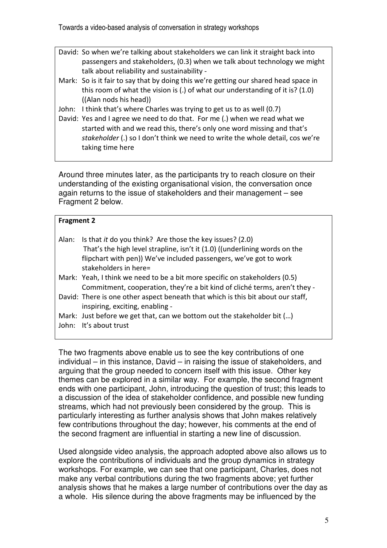Towards a video-based analysis of conversation in strategy workshops

- David: So when we're talking about stakeholders we can link it straight back into passengers and stakeholders, (0.3) when we talk about technology we might talk about reliability and sustainability -
- Mark: So is it fair to say that by doing this we're getting our shared head space in this room of what the vision is (.) of what our understanding of it is? (1.0) ((Alan nods his head))
- John: I think that's where Charles was trying to get us to as well (0.7)
- David: Yes and I agree we need to do that. For me (.) when we read what we started with and we read this, there's only one word missing and that's stakeholder (.) so I don't think we need to write the whole detail, cos we're taking time here

Around three minutes later, as the participants try to reach closure on their understanding of the existing organisational vision, the conversation once again returns to the issue of stakeholders and their management – see Fragment 2 below.

| <b>Fragment 2</b> |                                                                                                                                                                                                                                      |  |  |  |
|-------------------|--------------------------------------------------------------------------------------------------------------------------------------------------------------------------------------------------------------------------------------|--|--|--|
| Alan:             | Is that it do you think? Are those the key issues? (2.0)<br>That's the high level strapline, isn't it (1.0) ((underlining words on the<br>flipchart with pen)) We've included passengers, we've got to work<br>stakeholders in here= |  |  |  |
|                   | Mark: Yeah, I think we need to be a bit more specific on stakeholders (0.5)<br>Commitment, cooperation, they're a bit kind of cliché terms, aren't they -                                                                            |  |  |  |
|                   | David: There is one other aspect beneath that which is this bit about our staff,<br>inspiring, exciting, enabling -                                                                                                                  |  |  |  |
|                   | Mark: Just before we get that, can we bottom out the stakeholder bit ()<br>John: It's about trust                                                                                                                                    |  |  |  |

The two fragments above enable us to see the key contributions of one individual – in this instance, David – in raising the issue of stakeholders, and arguing that the group needed to concern itself with this issue. Other key themes can be explored in a similar way. For example, the second fragment ends with one participant, John, introducing the question of trust; this leads to a discussion of the idea of stakeholder confidence, and possible new funding streams, which had not previously been considered by the group. This is particularly interesting as further analysis shows that John makes relatively few contributions throughout the day; however, his comments at the end of the second fragment are influential in starting a new line of discussion.

Used alongside video analysis, the approach adopted above also allows us to explore the contributions of individuals and the group dynamics in strategy workshops. For example, we can see that one participant, Charles, does not make any verbal contributions during the two fragments above; yet further analysis shows that he makes a large number of contributions over the day as a whole. His silence during the above fragments may be influenced by the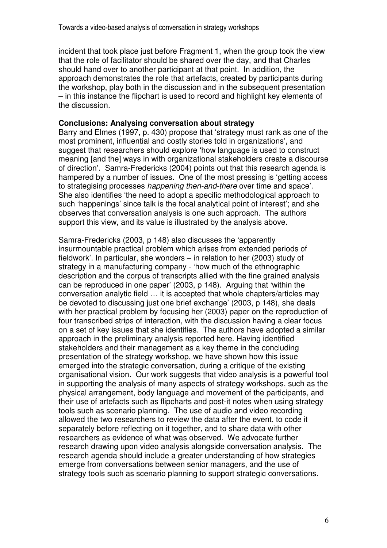incident that took place just before Fragment 1, when the group took the view that the role of facilitator should be shared over the day, and that Charles should hand over to another participant at that point. In addition, the approach demonstrates the role that artefacts, created by participants during the workshop, play both in the discussion and in the subsequent presentation – in this instance the flipchart is used to record and highlight key elements of the discussion.

#### **Conclusions: Analysing conversation about strategy**

Barry and Elmes (1997, p. 430) propose that 'strategy must rank as one of the most prominent, influential and costly stories told in organizations', and suggest that researchers should explore 'how language is used to construct meaning [and the] ways in with organizational stakeholders create a discourse of direction'. Samra-Fredericks (2004) points out that this research agenda is hampered by a number of issues. One of the most pressing is 'getting access to strategising processes happening then-and-there over time and space'. She also identifies 'the need to adopt a specific methodological approach to such 'happenings' since talk is the focal analytical point of interest'; and she observes that conversation analysis is one such approach. The authors support this view, and its value is illustrated by the analysis above.

Samra-Fredericks (2003, p 148) also discusses the 'apparently insurmountable practical problem which arises from extended periods of fieldwork'. In particular, she wonders – in relation to her (2003) study of strategy in a manufacturing company - 'how much of the ethnographic description and the corpus of transcripts allied with the fine grained analysis can be reproduced in one paper' (2003, p 148). Arguing that 'within the conversation analytic field … it is accepted that whole chapters/articles may be devoted to discussing just one brief exchange' (2003, p 148), she deals with her practical problem by focusing her (2003) paper on the reproduction of four transcribed strips of interaction, with the discussion having a clear focus on a set of key issues that she identifies. The authors have adopted a similar approach in the preliminary analysis reported here. Having identified stakeholders and their management as a key theme in the concluding presentation of the strategy workshop, we have shown how this issue emerged into the strategic conversation, during a critique of the existing organisational vision. Our work suggests that video analysis is a powerful tool in supporting the analysis of many aspects of strategy workshops, such as the physical arrangement, body language and movement of the participants, and their use of artefacts such as flipcharts and post-it notes when using strategy tools such as scenario planning. The use of audio and video recording allowed the two researchers to review the data after the event, to code it separately before reflecting on it together, and to share data with other researchers as evidence of what was observed. We advocate further research drawing upon video analysis alongside conversation analysis. The research agenda should include a greater understanding of how strategies emerge from conversations between senior managers, and the use of strategy tools such as scenario planning to support strategic conversations.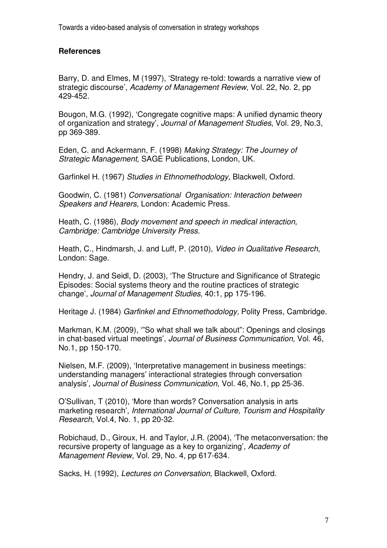# **References**

Barry, D. and Elmes, M (1997), 'Strategy re-told: towards a narrative view of strategic discourse', Academy of Management Review, Vol. 22, No. 2, pp 429-452.

Bougon, M.G. (1992), 'Congregate cognitive maps: A unified dynamic theory of organization and strategy', Journal of Management Studies, Vol. 29, No.3, pp 369-389.

Eden, C. and Ackermann, F. (1998) Making Strategy: The Journey of Strategic Management, SAGE Publications, London, UK.

Garfinkel H. (1967) Studies in Ethnomethodology, Blackwell, Oxford.

Goodwin, C. (1981) Conversational Organisation: Interaction between Speakers and Hearers, London: Academic Press.

Heath, C. (1986), Body movement and speech in medical interaction, Cambridge: Cambridge University Press.

Heath, C., Hindmarsh, J. and Luff, P. (2010), Video in Qualitative Research, London: Sage.

Hendry, J. and Seidl, D. (2003), 'The Structure and Significance of Strategic Episodes: Social systems theory and the routine practices of strategic change', Journal of Management Studies, 40:1, pp 175-196.

Heritage J. (1984) Garfinkel and Ethnomethodology, Polity Press, Cambridge.

Markman, K.M. (2009), '"So what shall we talk about": Openings and closings in chat-based virtual meetings', Journal of Business Communication, Vol. 46, No.1, pp 150-170.

Nielsen, M.F. (2009), 'Interpretative management in business meetings: understanding managers' interactional strategies through conversation analysis', Journal of Business Communication, Vol. 46, No.1, pp 25-36.

O'Sullivan, T (2010), 'More than words? Conversation analysis in arts marketing research', International Journal of Culture, Tourism and Hospitality Research, Vol.4, No. 1, pp 20-32.

Robichaud, D., Giroux, H. and Taylor, J.R. (2004), 'The metaconversation: the recursive property of language as a key to organizing', Academy of Management Review, Vol. 29, No. 4, pp 617-634.

Sacks, H. (1992), Lectures on Conversation, Blackwell, Oxford.